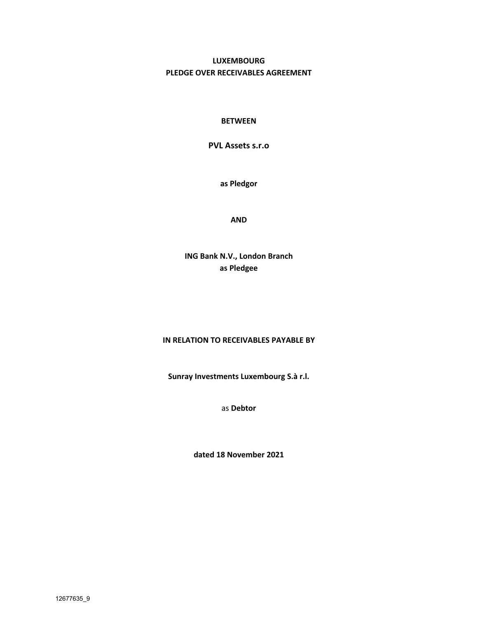# **LUXEMBOURG PLEDGE OVER RECEIVABLES AGREEMENT**

### **BETWEEN**

## **PVL Assets s.r.o**

**as Pledgor**

**AND** 

**ING Bank N.V., London Branch as Pledgee**

## **IN RELATION TO RECEIVABLES PAYABLE BY**

**Sunray Investments Luxembourg S.à r.l.**

as **Debtor**

**dated 18 November 2021**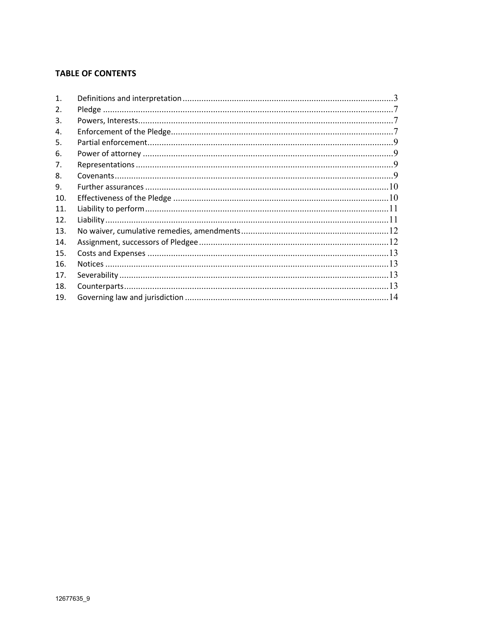## **TABLE OF CONTENTS**

| $\mathbf{1}$ . |  |
|----------------|--|
| 2.             |  |
| 3.             |  |
| 4.             |  |
| 5.             |  |
| 6.             |  |
| 7.             |  |
| 8.             |  |
| 9.             |  |
| 10.            |  |
| 11.            |  |
| 12.            |  |
| 13.            |  |
| 14.            |  |
| 15.            |  |
| 16.            |  |
| 17.            |  |
| 18.            |  |
| 19.            |  |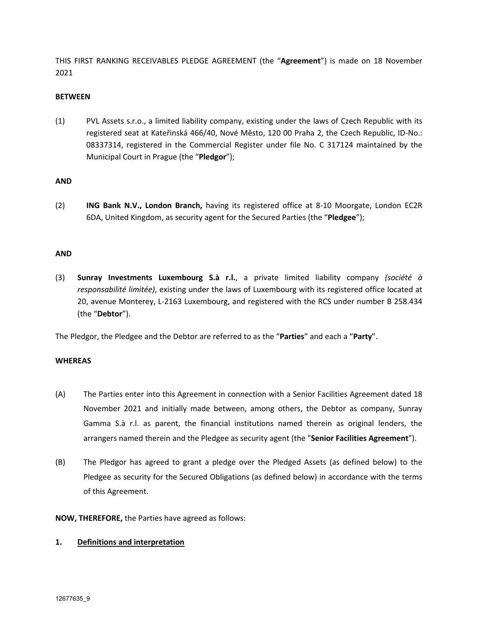THIS FIRST RANKING RECEIVABLES PLEDGE AGREEMENT (the "**Agreement**") is made on 18 November 2021

### **BETWEEN**

(1) PVL Assets s.r.o., a limited liability company, existing under the laws of Czech Republic with its registered seat at Kateřinská 466/40, Nové Město, 120 00 Praha 2, the Czech Republic, ID-No.: 08337314, registered in the Commercial Register under file No. C 317124 maintained by the Municipal Court in Prague (the "**Pledgor**");

### **AND**

(2) **ING Bank N.V., London Branch,** having its registered office at 8-10 Moorgate, London EC2R 6DA, United Kingdom, as security agent for the Secured Parties (the "**Pledgee**");

### **AND**

(3) **Sunray Investments Luxembourg S.à r.l.**, a private limited liability company *(société à responsabilité limitée)*, existing under the laws of Luxembourg with its registered office located at 20, avenue Monterey, L-2163 Luxembourg, and registered with the RCS under number B 258.434 (the "**Debtor**").

The Pledgor, the Pledgee and the Debtor are referred to as the "**Parties**" and each a "**Party**".

## **WHEREAS**

- (A) The Parties enter into this Agreement in connection with a Senior Facilities Agreement dated 18 November 2021 and initially made between, among others, the Debtor as company, Sunray Gamma S.à r.l. as parent, the financial institutions named therein as original lenders, the arrangers named therein and the Pledgee as security agent (the "**Senior Facilities Agreement**").
- (B) The Pledgor has agreed to grant a pledge over the Pledged Assets (as defined below) to the Pledgee as security for the Secured Obligations (as defined below) in accordance with the terms of this Agreement.

**NOW, THEREFORE,** the Parties have agreed as follows:

#### **1. Definitions and interpretation**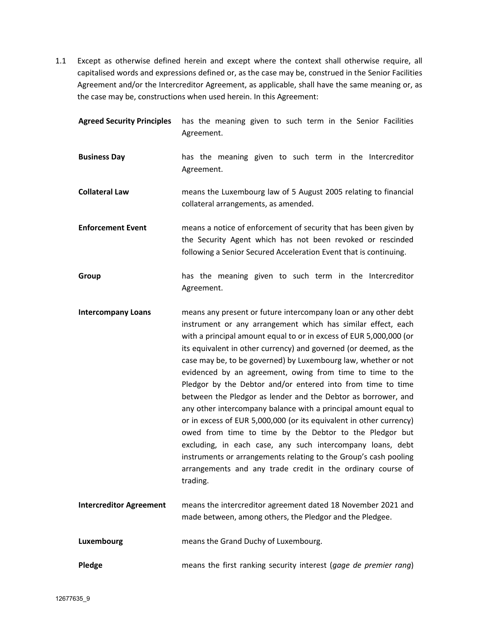1.1 Except as otherwise defined herein and except where the context shall otherwise require, all capitalised words and expressions defined or, as the case may be, construed in the Senior Facilities Agreement and/or the Intercreditor Agreement, as applicable, shall have the same meaning or, as the case may be, constructions when used herein. In this Agreement:

| <b>Agreed Security Principles</b> | has the meaning given to such term in the Senior Facilities<br>Agreement.                                                                                                                                                                                                                                                                                                                                                                                                                                                                                                                                                                                                                                                                                                                                                                                                                                                                                   |
|-----------------------------------|-------------------------------------------------------------------------------------------------------------------------------------------------------------------------------------------------------------------------------------------------------------------------------------------------------------------------------------------------------------------------------------------------------------------------------------------------------------------------------------------------------------------------------------------------------------------------------------------------------------------------------------------------------------------------------------------------------------------------------------------------------------------------------------------------------------------------------------------------------------------------------------------------------------------------------------------------------------|
| <b>Business Day</b>               | has the meaning given to such term in the Intercreditor<br>Agreement.                                                                                                                                                                                                                                                                                                                                                                                                                                                                                                                                                                                                                                                                                                                                                                                                                                                                                       |
| <b>Collateral Law</b>             | means the Luxembourg law of 5 August 2005 relating to financial<br>collateral arrangements, as amended.                                                                                                                                                                                                                                                                                                                                                                                                                                                                                                                                                                                                                                                                                                                                                                                                                                                     |
| <b>Enforcement Event</b>          | means a notice of enforcement of security that has been given by<br>the Security Agent which has not been revoked or rescinded<br>following a Senior Secured Acceleration Event that is continuing.                                                                                                                                                                                                                                                                                                                                                                                                                                                                                                                                                                                                                                                                                                                                                         |
| Group                             | has the meaning given to such term in the Intercreditor<br>Agreement.                                                                                                                                                                                                                                                                                                                                                                                                                                                                                                                                                                                                                                                                                                                                                                                                                                                                                       |
| <b>Intercompany Loans</b>         | means any present or future intercompany loan or any other debt<br>instrument or any arrangement which has similar effect, each<br>with a principal amount equal to or in excess of EUR 5,000,000 (or<br>its equivalent in other currency) and governed (or deemed, as the<br>case may be, to be governed) by Luxembourg law, whether or not<br>evidenced by an agreement, owing from time to time to the<br>Pledgor by the Debtor and/or entered into from time to time<br>between the Pledgor as lender and the Debtor as borrower, and<br>any other intercompany balance with a principal amount equal to<br>or in excess of EUR 5,000,000 (or its equivalent in other currency)<br>owed from time to time by the Debtor to the Pledgor but<br>excluding, in each case, any such intercompany loans, debt<br>instruments or arrangements relating to the Group's cash pooling<br>arrangements and any trade credit in the ordinary course of<br>trading. |
| <b>Intercreditor Agreement</b>    | means the intercreditor agreement dated 18 November 2021 and<br>made between, among others, the Pledgor and the Pledgee.                                                                                                                                                                                                                                                                                                                                                                                                                                                                                                                                                                                                                                                                                                                                                                                                                                    |
| Luxembourg                        | means the Grand Duchy of Luxembourg.                                                                                                                                                                                                                                                                                                                                                                                                                                                                                                                                                                                                                                                                                                                                                                                                                                                                                                                        |
| Pledge                            | means the first ranking security interest (gage de premier rang)                                                                                                                                                                                                                                                                                                                                                                                                                                                                                                                                                                                                                                                                                                                                                                                                                                                                                            |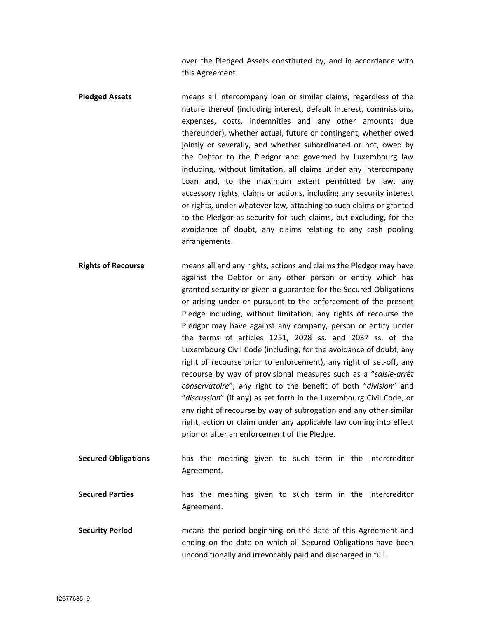over the Pledged Assets constituted by, and in accordance with this Agreement.

- **Pledged Assets** means all intercompany loan or similar claims, regardless of the nature thereof (including interest, default interest, commissions, expenses, costs, indemnities and any other amounts due thereunder), whether actual, future or contingent, whether owed jointly or severally, and whether subordinated or not, owed by the Debtor to the Pledgor and governed by Luxembourg law including, without limitation, all claims under any Intercompany Loan and, to the maximum extent permitted by law, any accessory rights, claims or actions, including any security interest or rights, under whatever law, attaching to such claims or granted to the Pledgor as security for such claims, but excluding, for the avoidance of doubt, any claims relating to any cash pooling arrangements.
- **Rights of Recourse** means all and any rights, actions and claims the Pledgor may have against the Debtor or any other person or entity which has granted security or given a guarantee for the Secured Obligations or arising under or pursuant to the enforcement of the present Pledge including, without limitation, any rights of recourse the Pledgor may have against any company, person or entity under the terms of articles 1251, 2028 ss. and 2037 ss. of the Luxembourg Civil Code (including, for the avoidance of doubt, any right of recourse prior to enforcement), any right of set-off, any recourse by way of provisional measures such as a "*saisie-arrêt conservatoire*", any right to the benefit of both "*division*" and "*discussion*" (if any) as set forth in the Luxembourg Civil Code, or any right of recourse by way of subrogation and any other similar right, action or claim under any applicable law coming into effect prior or after an enforcement of the Pledge.
- **Secured Obligations** has the meaning given to such term in the Intercreditor Agreement.
- **Secured Parties** has the meaning given to such term in the Intercreditor Agreement.
- **Security Period** means the period beginning on the date of this Agreement and ending on the date on which all Secured Obligations have been unconditionally and irrevocably paid and discharged in full.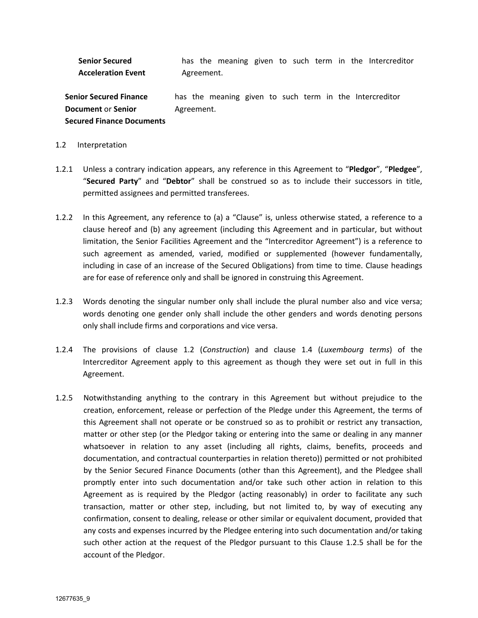**Senior Secured Acceleration Event** has the meaning given to such term in the Intercreditor Agreement.

**Senior Secured Finance Document** or **Senior Secured Finance Documents** has the meaning given to such term in the Intercreditor Agreement.

#### 1.2 Interpretation

- 1.2.1 Unless a contrary indication appears, any reference in this Agreement to "**Pledgor**", "**Pledgee**", "**Secured Party**" and "**Debtor**" shall be construed so as to include their successors in title, permitted assignees and permitted transferees.
- 1.2.2 In this Agreement, any reference to (a) a "Clause" is, unless otherwise stated, a reference to a clause hereof and (b) any agreement (including this Agreement and in particular, but without limitation, the Senior Facilities Agreement and the "Intercreditor Agreement") is a reference to such agreement as amended, varied, modified or supplemented (however fundamentally, including in case of an increase of the Secured Obligations) from time to time. Clause headings are for ease of reference only and shall be ignored in construing this Agreement.
- 1.2.3 Words denoting the singular number only shall include the plural number also and vice versa; words denoting one gender only shall include the other genders and words denoting persons only shall include firms and corporations and vice versa.
- 1.2.4 The provisions of clause 1.2 (*Construction*) and clause 1.4 (*Luxembourg terms*) of the Intercreditor Agreement apply to this agreement as though they were set out in full in this Agreement.
- 1.2.5 Notwithstanding anything to the contrary in this Agreement but without prejudice to the creation, enforcement, release or perfection of the Pledge under this Agreement, the terms of this Agreement shall not operate or be construed so as to prohibit or restrict any transaction, matter or other step (or the Pledgor taking or entering into the same or dealing in any manner whatsoever in relation to any asset (including all rights, claims, benefits, proceeds and documentation, and contractual counterparties in relation thereto)) permitted or not prohibited by the Senior Secured Finance Documents (other than this Agreement), and the Pledgee shall promptly enter into such documentation and/or take such other action in relation to this Agreement as is required by the Pledgor (acting reasonably) in order to facilitate any such transaction, matter or other step, including, but not limited to, by way of executing any confirmation, consent to dealing, release or other similar or equivalent document, provided that any costs and expenses incurred by the Pledgee entering into such documentation and/or taking such other action at the request of the Pledgor pursuant to this Clause 1.2.5 shall be for the account of the Pledgor.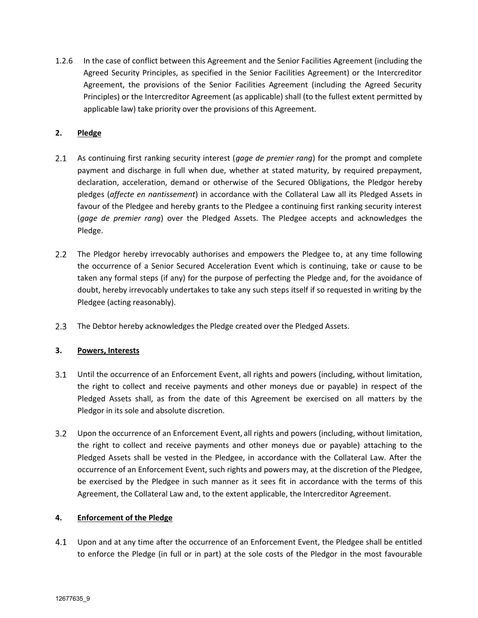1.2.6 In the case of conflict between this Agreement and the Senior Facilities Agreement (including the Agreed Security Principles, as specified in the Senior Facilities Agreement) or the Intercreditor Agreement, the provisions of the Senior Facilities Agreement (including the Agreed Security Principles) or the Intercreditor Agreement (as applicable) shall (to the fullest extent permitted by applicable law) take priority over the provisions of this Agreement.

## **2. Pledge**

- $2.1$ As continuing first ranking security interest (*gage de premier rang*) for the prompt and complete payment and discharge in full when due, whether at stated maturity, by required prepayment, declaration, acceleration, demand or otherwise of the Secured Obligations, the Pledgor hereby pledges (*affecte en nantissement*) in accordance with the Collateral Law all its Pledged Assets in favour of the Pledgee and hereby grants to the Pledgee a continuing first ranking security interest (*gage de premier rang*) over the Pledged Assets. The Pledgee accepts and acknowledges the Pledge.
- $2.2$ The Pledgor hereby irrevocably authorises and empowers the Pledgee to, at any time following the occurrence of a Senior Secured Acceleration Event which is continuing, take or cause to be taken any formal steps (if any) for the purpose of perfecting the Pledge and, for the avoidance of doubt, hereby irrevocably undertakes to take any such steps itself if so requested in writing by the Pledgee (acting reasonably).
- $2.3$ The Debtor hereby acknowledges the Pledge created over the Pledged Assets.

## **3. Powers, Interests**

- $3.1$ Until the occurrence of an Enforcement Event, all rights and powers (including, without limitation, the right to collect and receive payments and other moneys due or payable) in respect of the Pledged Assets shall, as from the date of this Agreement be exercised on all matters by the Pledgor in its sole and absolute discretion.
- $3.2$ Upon the occurrence of an Enforcement Event, all rights and powers (including, without limitation, the right to collect and receive payments and other moneys due or payable) attaching to the Pledged Assets shall be vested in the Pledgee, in accordance with the Collateral Law. After the occurrence of an Enforcement Event, such rights and powers may, at the discretion of the Pledgee, be exercised by the Pledgee in such manner as it sees fit in accordance with the terms of this Agreement, the Collateral Law and, to the extent applicable, the Intercreditor Agreement.

## **4. Enforcement of the Pledge**

 $4.1$ Upon and at any time after the occurrence of an Enforcement Event, the Pledgee shall be entitled to enforce the Pledge (in full or in part) at the sole costs of the Pledgor in the most favourable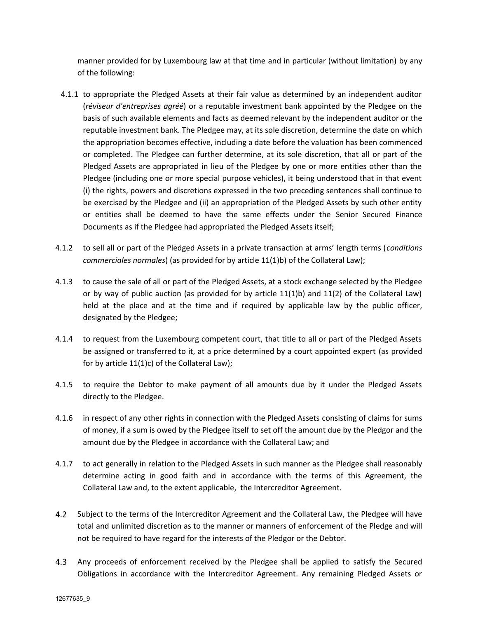manner provided for by Luxembourg law at that time and in particular (without limitation) by any of the following:

- 4.1.1 to appropriate the Pledged Assets at their fair value as determined by an independent auditor (*réviseur d'entreprises agréé*) or a reputable investment bank appointed by the Pledgee on the basis of such available elements and facts as deemed relevant by the independent auditor or the reputable investment bank. The Pledgee may, at its sole discretion, determine the date on which the appropriation becomes effective, including a date before the valuation has been commenced or completed. The Pledgee can further determine, at its sole discretion, that all or part of the Pledged Assets are appropriated in lieu of the Pledgee by one or more entities other than the Pledgee (including one or more special purpose vehicles), it being understood that in that event (i) the rights, powers and discretions expressed in the two preceding sentences shall continue to be exercised by the Pledgee and (ii) an appropriation of the Pledged Assets by such other entity or entities shall be deemed to have the same effects under the Senior Secured Finance Documents as if the Pledgee had appropriated the Pledged Assets itself;
- 4.1.2 to sell all or part of the Pledged Assets in a private transaction at arms' length terms (*conditions commerciales normales*) (as provided for by article 11(1)b) of the Collateral Law);
- 4.1.3 to cause the sale of all or part of the Pledged Assets, at a stock exchange selected by the Pledgee or by way of public auction (as provided for by article 11(1)b) and 11(2) of the Collateral Law) held at the place and at the time and if required by applicable law by the public officer, designated by the Pledgee;
- 4.1.4 to request from the Luxembourg competent court, that title to all or part of the Pledged Assets be assigned or transferred to it, at a price determined by a court appointed expert (as provided for by article 11(1)c) of the Collateral Law);
- 4.1.5 to require the Debtor to make payment of all amounts due by it under the Pledged Assets directly to the Pledgee.
- 4.1.6 in respect of any other rights in connection with the Pledged Assets consisting of claims for sums of money, if a sum is owed by the Pledgee itself to set off the amount due by the Pledgor and the amount due by the Pledgee in accordance with the Collateral Law; and
- 4.1.7 to act generally in relation to the Pledged Assets in such manner as the Pledgee shall reasonably determine acting in good faith and in accordance with the terms of this Agreement, the Collateral Law and, to the extent applicable, the Intercreditor Agreement.
- 4.2 Subject to the terms of the Intercreditor Agreement and the Collateral Law, the Pledgee will have total and unlimited discretion as to the manner or manners of enforcement of the Pledge and will not be required to have regard for the interests of the Pledgor or the Debtor.
- $4.3$ Any proceeds of enforcement received by the Pledgee shall be applied to satisfy the Secured Obligations in accordance with the Intercreditor Agreement. Any remaining Pledged Assets or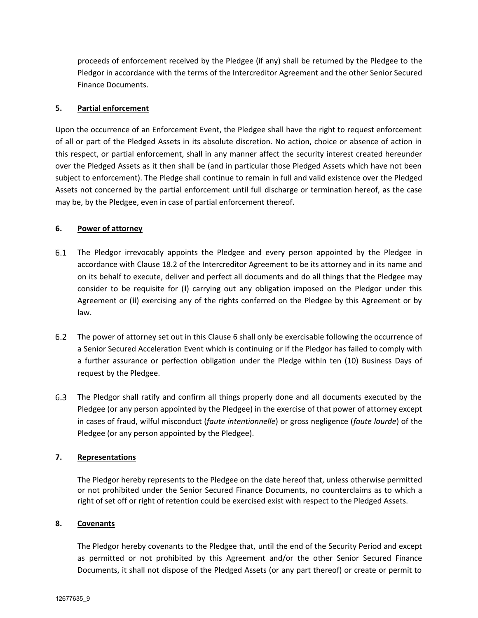proceeds of enforcement received by the Pledgee (if any) shall be returned by the Pledgee to the Pledgor in accordance with the terms of the Intercreditor Agreement and the other Senior Secured Finance Documents.

### **5. Partial enforcement**

Upon the occurrence of an Enforcement Event, the Pledgee shall have the right to request enforcement of all or part of the Pledged Assets in its absolute discretion. No action, choice or absence of action in this respect, or partial enforcement, shall in any manner affect the security interest created hereunder over the Pledged Assets as it then shall be (and in particular those Pledged Assets which have not been subject to enforcement). The Pledge shall continue to remain in full and valid existence over the Pledged Assets not concerned by the partial enforcement until full discharge or termination hereof, as the case may be, by the Pledgee, even in case of partial enforcement thereof.

### **6. Power of attorney**

- The Pledgor irrevocably appoints the Pledgee and every person appointed by the Pledgee in accordance with Clause 18.2 of the Intercreditor Agreement to be its attorney and in its name and on its behalf to execute, deliver and perfect all documents and do all things that the Pledgee may consider to be requisite for (**i**) carrying out any obligation imposed on the Pledgor under this Agreement or (**ii**) exercising any of the rights conferred on the Pledgee by this Agreement or by law.
- $6.2$ The power of attorney set out in this Clause 6 shall only be exercisable following the occurrence of a Senior Secured Acceleration Event which is continuing or if the Pledgor has failed to comply with a further assurance or perfection obligation under the Pledge within ten (10) Business Days of request by the Pledgee.
- 6.3 The Pledgor shall ratify and confirm all things properly done and all documents executed by the Pledgee (or any person appointed by the Pledgee) in the exercise of that power of attorney except in cases of fraud, wilful misconduct (*faute intentionnelle*) or gross negligence (*faute lourde*) of the Pledgee (or any person appointed by the Pledgee).

## **7. Representations**

The Pledgor hereby represents to the Pledgee on the date hereof that, unless otherwise permitted or not prohibited under the Senior Secured Finance Documents, no counterclaims as to which a right of set off or right of retention could be exercised exist with respect to the Pledged Assets.

#### **8. Covenants**

The Pledgor hereby covenants to the Pledgee that, until the end of the Security Period and except as permitted or not prohibited by this Agreement and/or the other Senior Secured Finance Documents, it shall not dispose of the Pledged Assets (or any part thereof) or create or permit to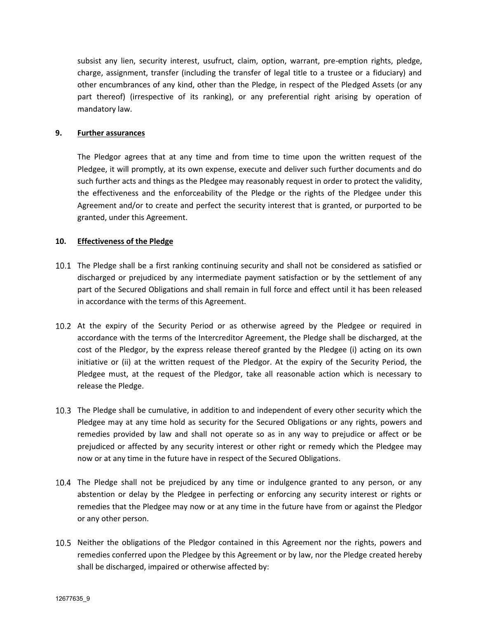subsist any lien, security interest, usufruct, claim, option, warrant, pre-emption rights, pledge, charge, assignment, transfer (including the transfer of legal title to a trustee or a fiduciary) and other encumbrances of any kind, other than the Pledge, in respect of the Pledged Assets (or any part thereof) (irrespective of its ranking), or any preferential right arising by operation of mandatory law.

#### **9. Further assurances**

The Pledgor agrees that at any time and from time to time upon the written request of the Pledgee, it will promptly, at its own expense, execute and deliver such further documents and do such further acts and things as the Pledgee may reasonably request in order to protect the validity, the effectiveness and the enforceability of the Pledge or the rights of the Pledgee under this Agreement and/or to create and perfect the security interest that is granted, or purported to be granted, under this Agreement.

#### **10. Effectiveness of the Pledge**

- 10.1 The Pledge shall be a first ranking continuing security and shall not be considered as satisfied or discharged or prejudiced by any intermediate payment satisfaction or by the settlement of any part of the Secured Obligations and shall remain in full force and effect until it has been released in accordance with the terms of this Agreement.
- 10.2 At the expiry of the Security Period or as otherwise agreed by the Pledgee or required in accordance with the terms of the Intercreditor Agreement, the Pledge shall be discharged, at the cost of the Pledgor, by the express release thereof granted by the Pledgee (i) acting on its own initiative or (ii) at the written request of the Pledgor. At the expiry of the Security Period, the Pledgee must, at the request of the Pledgor, take all reasonable action which is necessary to release the Pledge.
- The Pledge shall be cumulative, in addition to and independent of every other security which the Pledgee may at any time hold as security for the Secured Obligations or any rights, powers and remedies provided by law and shall not operate so as in any way to prejudice or affect or be prejudiced or affected by any security interest or other right or remedy which the Pledgee may now or at any time in the future have in respect of the Secured Obligations.
- 10.4 The Pledge shall not be prejudiced by any time or indulgence granted to any person, or any abstention or delay by the Pledgee in perfecting or enforcing any security interest or rights or remedies that the Pledgee may now or at any time in the future have from or against the Pledgor or any other person.
- 10.5 Neither the obligations of the Pledgor contained in this Agreement nor the rights, powers and remedies conferred upon the Pledgee by this Agreement or by law, nor the Pledge created hereby shall be discharged, impaired or otherwise affected by: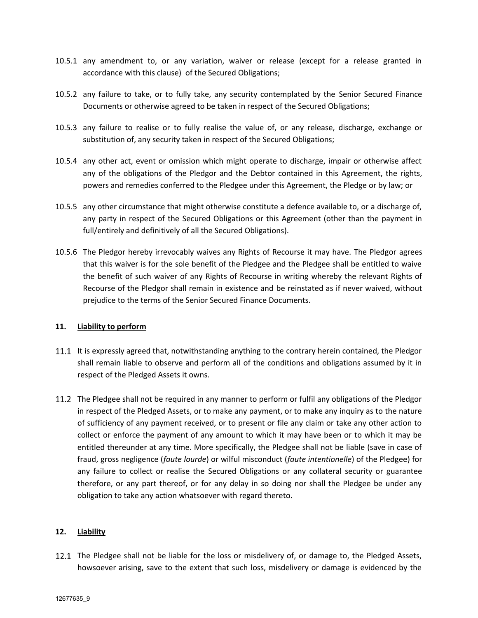- 10.5.1 any amendment to, or any variation, waiver or release (except for a release granted in accordance with this clause) of the Secured Obligations;
- 10.5.2 any failure to take, or to fully take, any security contemplated by the Senior Secured Finance Documents or otherwise agreed to be taken in respect of the Secured Obligations;
- 10.5.3 any failure to realise or to fully realise the value of, or any release, discharge, exchange or substitution of, any security taken in respect of the Secured Obligations;
- 10.5.4 any other act, event or omission which might operate to discharge, impair or otherwise affect any of the obligations of the Pledgor and the Debtor contained in this Agreement, the rights, powers and remedies conferred to the Pledgee under this Agreement, the Pledge or by law; or
- 10.5.5 any other circumstance that might otherwise constitute a defence available to, or a discharge of, any party in respect of the Secured Obligations or this Agreement (other than the payment in full/entirely and definitively of all the Secured Obligations).
- 10.5.6 The Pledgor hereby irrevocably waives any Rights of Recourse it may have. The Pledgor agrees that this waiver is for the sole benefit of the Pledgee and the Pledgee shall be entitled to waive the benefit of such waiver of any Rights of Recourse in writing whereby the relevant Rights of Recourse of the Pledgor shall remain in existence and be reinstated as if never waived, without prejudice to the terms of the Senior Secured Finance Documents.

#### **11. Liability to perform**

- 11.1 It is expressly agreed that, notwithstanding anything to the contrary herein contained, the Pledgor shall remain liable to observe and perform all of the conditions and obligations assumed by it in respect of the Pledged Assets it owns.
- 11.2 The Pledgee shall not be required in any manner to perform or fulfil any obligations of the Pledgor in respect of the Pledged Assets, or to make any payment, or to make any inquiry as to the nature of sufficiency of any payment received, or to present or file any claim or take any other action to collect or enforce the payment of any amount to which it may have been or to which it may be entitled thereunder at any time. More specifically, the Pledgee shall not be liable (save in case of fraud, gross negligence (*faute lourde*) or wilful misconduct (*faute intentionelle*) of the Pledgee) for any failure to collect or realise the Secured Obligations or any collateral security or guarantee therefore, or any part thereof, or for any delay in so doing nor shall the Pledgee be under any obligation to take any action whatsoever with regard thereto.

#### **12. Liability**

12.1 The Pledgee shall not be liable for the loss or misdelivery of, or damage to, the Pledged Assets, howsoever arising, save to the extent that such loss, misdelivery or damage is evidenced by the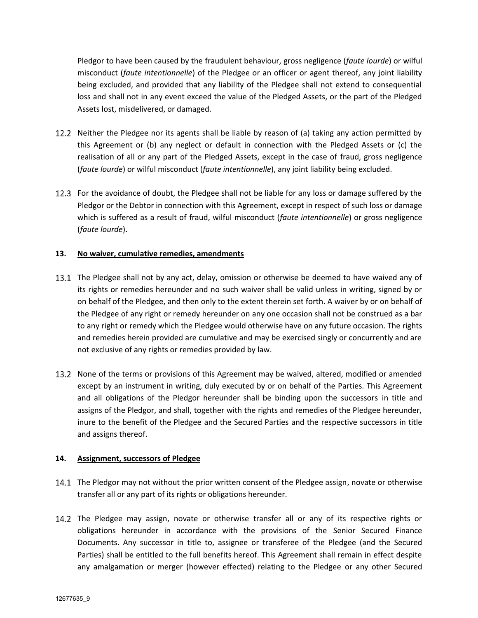Pledgor to have been caused by the fraudulent behaviour, gross negligence (*faute lourde*) or wilful misconduct (*faute intentionnelle*) of the Pledgee or an officer or agent thereof, any joint liability being excluded, and provided that any liability of the Pledgee shall not extend to consequential loss and shall not in any event exceed the value of the Pledged Assets, or the part of the Pledged Assets lost, misdelivered, or damaged.

- 12.2 Neither the Pledgee nor its agents shall be liable by reason of (a) taking any action permitted by this Agreement or (b) any neglect or default in connection with the Pledged Assets or (c) the realisation of all or any part of the Pledged Assets, except in the case of fraud, gross negligence (*faute lourde*) or wilful misconduct (*faute intentionnelle*), any joint liability being excluded.
- 12.3 For the avoidance of doubt, the Pledgee shall not be liable for any loss or damage suffered by the Pledgor or the Debtor in connection with this Agreement, except in respect of such loss or damage which is suffered as a result of fraud, wilful misconduct (*faute intentionnelle*) or gross negligence (*faute lourde*).

### **13. No waiver, cumulative remedies, amendments**

- 13.1 The Pledgee shall not by any act, delay, omission or otherwise be deemed to have waived any of its rights or remedies hereunder and no such waiver shall be valid unless in writing, signed by or on behalf of the Pledgee, and then only to the extent therein set forth. A waiver by or on behalf of the Pledgee of any right or remedy hereunder on any one occasion shall not be construed as a bar to any right or remedy which the Pledgee would otherwise have on any future occasion. The rights and remedies herein provided are cumulative and may be exercised singly or concurrently and are not exclusive of any rights or remedies provided by law.
- 13.2 None of the terms or provisions of this Agreement may be waived, altered, modified or amended except by an instrument in writing, duly executed by or on behalf of the Parties. This Agreement and all obligations of the Pledgor hereunder shall be binding upon the successors in title and assigns of the Pledgor, and shall, together with the rights and remedies of the Pledgee hereunder, inure to the benefit of the Pledgee and the Secured Parties and the respective successors in title and assigns thereof.

#### **14. Assignment, successors of Pledgee**

- 14.1 The Pledgor may not without the prior written consent of the Pledgee assign, novate or otherwise transfer all or any part of its rights or obligations hereunder.
- 14.2 The Pledgee may assign, novate or otherwise transfer all or any of its respective rights or obligations hereunder in accordance with the provisions of the Senior Secured Finance Documents. Any successor in title to, assignee or transferee of the Pledgee (and the Secured Parties) shall be entitled to the full benefits hereof. This Agreement shall remain in effect despite any amalgamation or merger (however effected) relating to the Pledgee or any other Secured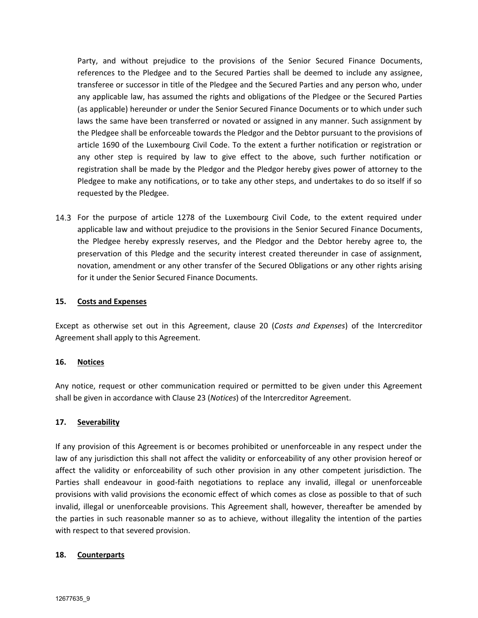Party, and without prejudice to the provisions of the Senior Secured Finance Documents, references to the Pledgee and to the Secured Parties shall be deemed to include any assignee, transferee or successor in title of the Pledgee and the Secured Parties and any person who, under any applicable law, has assumed the rights and obligations of the Pledgee or the Secured Parties (as applicable) hereunder or under the Senior Secured Finance Documents or to which under such laws the same have been transferred or novated or assigned in any manner. Such assignment by the Pledgee shall be enforceable towards the Pledgor and the Debtor pursuant to the provisions of article 1690 of the Luxembourg Civil Code. To the extent a further notification or registration or any other step is required by law to give effect to the above, such further notification or registration shall be made by the Pledgor and the Pledgor hereby gives power of attorney to the Pledgee to make any notifications, or to take any other steps, and undertakes to do so itself if so requested by the Pledgee.

14.3 For the purpose of article 1278 of the Luxembourg Civil Code, to the extent required under applicable law and without prejudice to the provisions in the Senior Secured Finance Documents, the Pledgee hereby expressly reserves, and the Pledgor and the Debtor hereby agree to, the preservation of this Pledge and the security interest created thereunder in case of assignment, novation, amendment or any other transfer of the Secured Obligations or any other rights arising for it under the Senior Secured Finance Documents.

#### **15. Costs and Expenses**

Except as otherwise set out in this Agreement, clause 20 (*Costs and Expenses*) of the Intercreditor Agreement shall apply to this Agreement.

#### **16. Notices**

Any notice, request or other communication required or permitted to be given under this Agreement shall be given in accordance with Clause 23 (*Notices*) of the Intercreditor Agreement.

#### **17. Severability**

If any provision of this Agreement is or becomes prohibited or unenforceable in any respect under the law of any jurisdiction this shall not affect the validity or enforceability of any other provision hereof or affect the validity or enforceability of such other provision in any other competent jurisdiction. The Parties shall endeavour in good-faith negotiations to replace any invalid, illegal or unenforceable provisions with valid provisions the economic effect of which comes as close as possible to that of such invalid, illegal or unenforceable provisions. This Agreement shall, however, thereafter be amended by the parties in such reasonable manner so as to achieve, without illegality the intention of the parties with respect to that severed provision.

#### **18. Counterparts**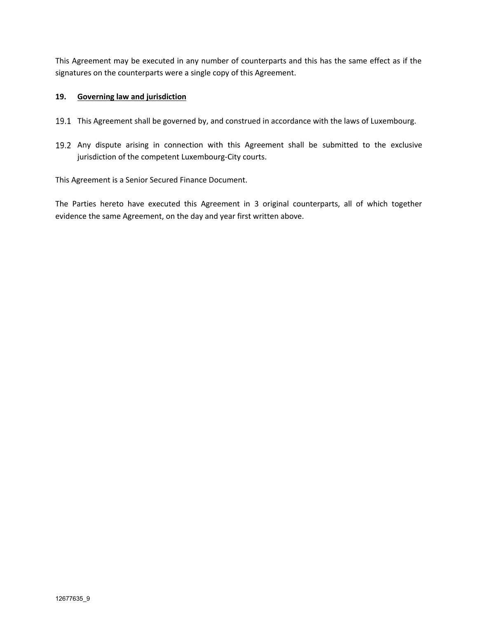This Agreement may be executed in any number of counterparts and this has the same effect as if the signatures on the counterparts were a single copy of this Agreement.

### **19. Governing law and jurisdiction**

- 19.1 This Agreement shall be governed by, and construed in accordance with the laws of Luxembourg.
- 19.2 Any dispute arising in connection with this Agreement shall be submitted to the exclusive jurisdiction of the competent Luxembourg-City courts.

This Agreement is a Senior Secured Finance Document.

The Parties hereto have executed this Agreement in 3 original counterparts, all of which together evidence the same Agreement, on the day and year first written above.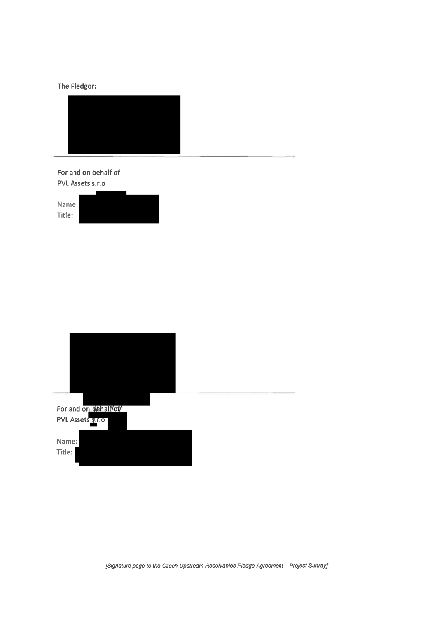# The Pledgor:



## For and on behalf of PVL Assets s.r.o





[Signature page to the Czech Upstream Receivables Pledge Agreement - Project Sunray]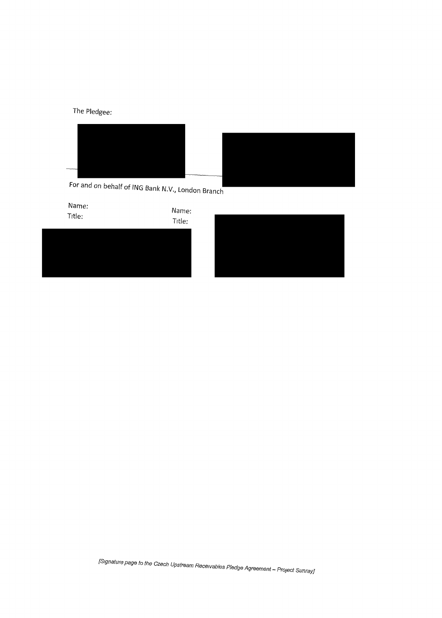The Pledgee:



For and on behalf of ING Bank N.V., London Branch



[Signature page to the Czech Upstream Receivables Pledge Agreement – Project Sunray]